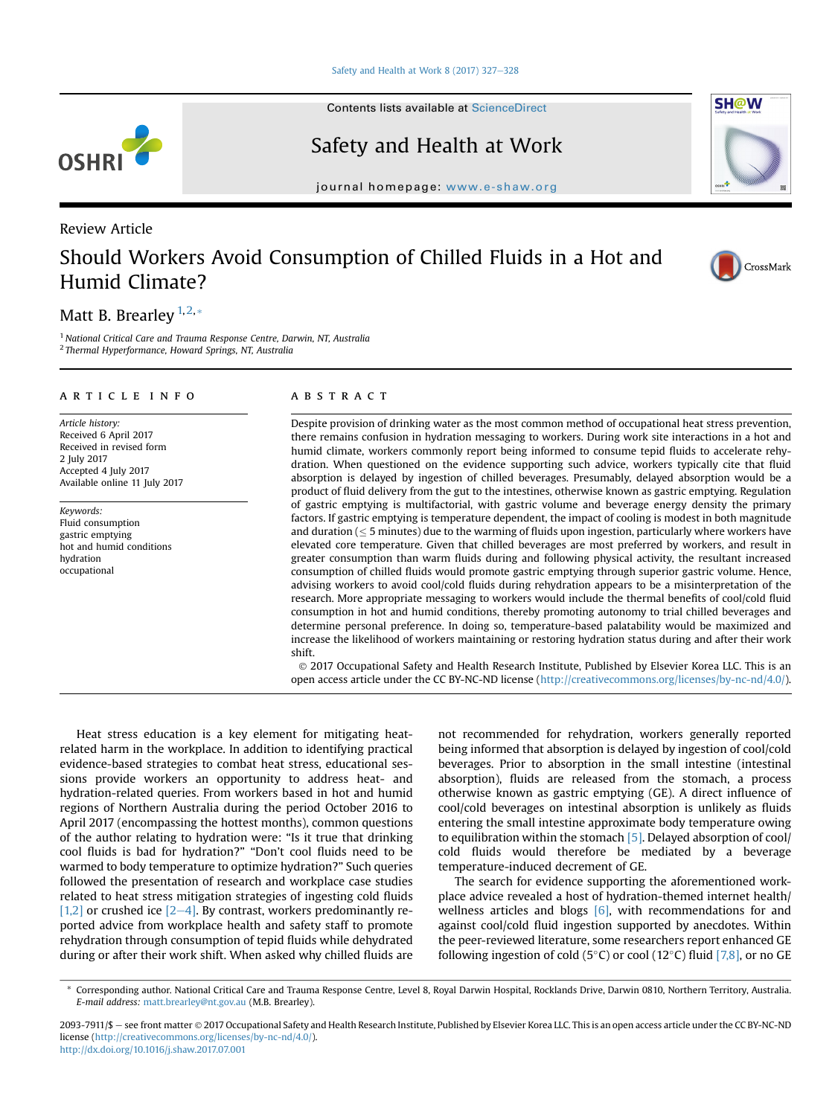Contents lists available at ScienceDirect

## Safety and Health at Work

journal homepage: [www.e-shaw.org](http://www.e-shaw.org/www.e-shaw.org)

### Review Article

# Should Workers Avoid Consumption of Chilled Fluids in a Hot and Humid Climate?

### Matt B. Brearley  $1,2,*$

<sup>1</sup> National Critical Care and Trauma Response Centre, Darwin, NT, Australia <sup>2</sup> Thermal Hyperformance, Howard Springs, NT, Australia

#### article info

Article history: Received 6 April 2017 Received in revised form 2 July 2017 Accepted 4 July 2017 Available online 11 July 2017

Keywords: Fluid consumption gastric emptying hot and humid conditions hydration occupational

#### **ABSTRACT**

Despite provision of drinking water as the most common method of occupational heat stress prevention, there remains confusion in hydration messaging to workers. During work site interactions in a hot and humid climate, workers commonly report being informed to consume tepid fluids to accelerate rehydration. When questioned on the evidence supporting such advice, workers typically cite that fluid absorption is delayed by ingestion of chilled beverages. Presumably, delayed absorption would be a product of fluid delivery from the gut to the intestines, otherwise known as gastric emptying. Regulation of gastric emptying is multifactorial, with gastric volume and beverage energy density the primary factors. If gastric emptying is temperature dependent, the impact of cooling is modest in both magnitude and duration ( $\leq$  5 minutes) due to the warming of fluids upon ingestion, particularly where workers have elevated core temperature. Given that chilled beverages are most preferred by workers, and result in greater consumption than warm fluids during and following physical activity, the resultant increased consumption of chilled fluids would promote gastric emptying through superior gastric volume. Hence, advising workers to avoid cool/cold fluids during rehydration appears to be a misinterpretation of the research. More appropriate messaging to workers would include the thermal benefits of cool/cold fluid consumption in hot and humid conditions, thereby promoting autonomy to trial chilled beverages and determine personal preference. In doing so, temperature-based palatability would be maximized and increase the likelihood of workers maintaining or restoring hydration status during and after their work shift.

 2017 Occupational Safety and Health Research Institute, Published by Elsevier Korea LLC. This is an open access article under the CC BY-NC-ND license [\(http://creativecommons.org/licenses/by-nc-nd/4.0/](http://creativecommons.org/licenses/by-nc-nd/4.0/)).

Heat stress education is a key element for mitigating heatrelated harm in the workplace. In addition to identifying practical evidence-based strategies to combat heat stress, educational sessions provide workers an opportunity to address heat- and hydration-related queries. From workers based in hot and humid regions of Northern Australia during the period October 2016 to April 2017 (encompassing the hottest months), common questions of the author relating to hydration were: "Is it true that drinking cool fluids is bad for hydration?" "Don't cool fluids need to be warmed to body temperature to optimize hydration?" Such queries followed the presentation of research and workplace case studies related to heat stress mitigation strategies of ingesting cold fluids [\[1,2\]](#page-1-0) or crushed ice  $[2-4]$  $[2-4]$  $[2-4]$ . By contrast, workers predominantly reported advice from workplace health and safety staff to promote rehydration through consumption of tepid fluids while dehydrated during or after their work shift. When asked why chilled fluids are not recommended for rehydration, workers generally reported being informed that absorption is delayed by ingestion of cool/cold beverages. Prior to absorption in the small intestine (intestinal absorption), fluids are released from the stomach, a process otherwise known as gastric emptying (GE). A direct influence of cool/cold beverages on intestinal absorption is unlikely as fluids entering the small intestine approximate body temperature owing to equilibration within the stomach [\[5\].](#page-1-0) Delayed absorption of cool/ cold fluids would therefore be mediated by a beverage temperature-induced decrement of GE.

The search for evidence supporting the aforementioned workplace advice revealed a host of hydration-themed internet health/ wellness articles and blogs  $[6]$ , with recommendations for and against cool/cold fluid ingestion supported by anecdotes. Within the peer-reviewed literature, some researchers report enhanced GE following ingestion of cold (5 $\degree$ C) or cool (12 $\degree$ C) fluid [\[7,8\],](#page-1-0) or no GE









<sup>\*</sup> Corresponding author. National Critical Care and Trauma Response Centre, Level 8, Royal Darwin Hospital, Rocklands Drive, Darwin 0810, Northern Territory, Australia. E-mail address: [matt.brearley@nt.gov.au](mailto:matt.brearley@nt.gov.au) (M.B. Brearley).

<sup>2093-7911/\$ -</sup> see front matter © 2017 Occupational Safety and Health Research Institute, Published by Elsevier Korea LLC. This is an open access article under the CC BY-NC-ND license ([http://creativecommons.org/licenses/by-nc-nd/4.0/\)](http://creativecommons.org/licenses/by-nc-nd/4.0/). <http://dx.doi.org/10.1016/j.shaw.2017.07.001>